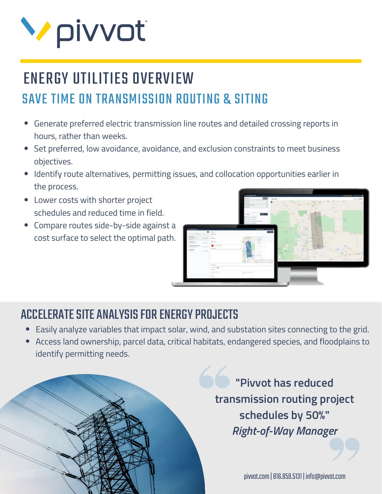

# ENERGY UTILITIES OVERVIEW SAVE TIME ON TRANSMISSION ROUTING & SITING

- Generate preferred electric transmission line routes and detailed crossing reports in hours, rather than weeks.
- Set preferred, low avoidance, avoidance, and exclusion constraints to meet business objectives.
- Identify route alternatives, permitting issues, and collocation opportunities earlier in the process.
- Lower costs with shorter project schedules and reduced time in field.
- Compare routes side-by-side against a cost surface to select the optimal path.



### ACCELERATE SITE ANALYSIS FOR ENERGY PROJECTS

- Easily analyze variables that impact solar, wind, and substation sites connecting to the grid.
- Access land ownership, parcel data, critical habitats, endangered species, and floodplains to identify permitting needs.

**"Pivvot has reduced transmission routing project schedules by 50%"** *Right-of-Way Manager*

pivvot.com |816.859.5131 | info@pivvot.com